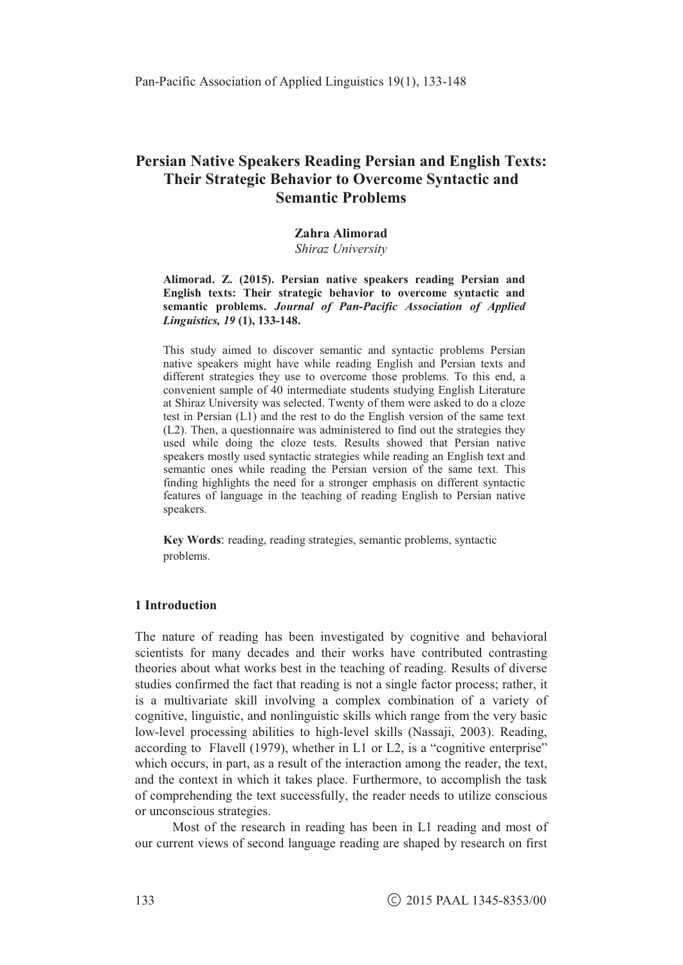# **Persian Native Speakers Reading Persian and English Texts:** Their Strategic Behavior to Overcome Syntactic and **Semantic Problems**

#### Zahra Alimorad

Shiraz University

Alimorad. Z. (2015). Persian native speakers reading Persian and English texts: Their strategic behavior to overcome syntactic and semantic problems. Journal of Pan-Pacific Association of Applied Linguistics, 19 (1), 133-148.

This study aimed to discover semantic and syntactic problems Persian native speakers might have while reading English and Persian texts and different strategies they use to overcome those problems. To this end, a convenient sample of 40 intermediate students studying English Literature at Shiraz University was selected. Twenty of them were asked to do a cloze test in Persian (L1) and the rest to do the English version of the same text (L2). Then, a questionnaire was administered to find out the strategies they used while doing the cloze tests. Results showed that Persian native speakers mostly used syntactic strategies while reading an English text and semantic ones while reading the Persian version of the same text. This finding highlights the need for a stronger emphasis on different syntactic features of language in the teaching of reading English to Persian native speakers.

Key Words: reading, reading strategies, semantic problems, syntactic problems.

#### 1 Introduction

The nature of reading has been investigated by cognitive and behavioral scientists for many decades and their works have contributed contrasting theories about what works best in the teaching of reading. Results of diverse studies confirmed the fact that reading is not a single factor process; rather, it is a multivariate skill involving a complex combination of a variety of cognitive, linguistic, and nonlinguistic skills which range from the very basic low-level processing abilities to high-level skills (Nassaji, 2003). Reading, according to Flavell (1979), whether in L1 or L2, is a "cognitive enterprise" which occurs, in part, as a result of the interaction among the reader, the text, and the context in which it takes place. Furthermore, to accomplish the task of comprehending the text successfully, the reader needs to utilize conscious or unconscious strategies.

Most of the research in reading has been in L1 reading and most of our current views of second language reading are shaped by research on first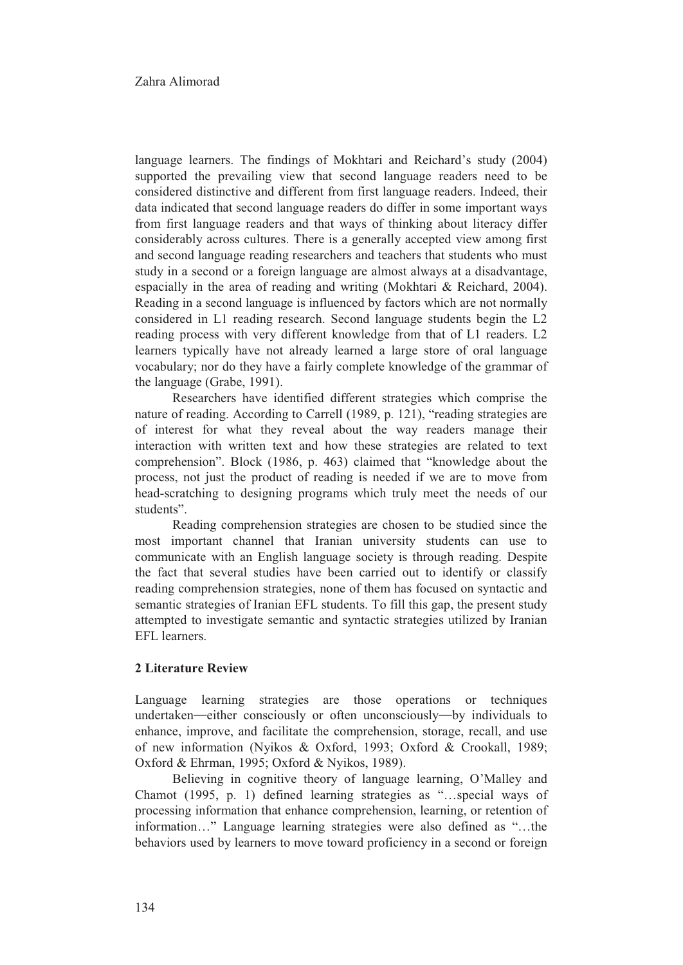language learners. The findings of Mokhtari and Reichard's study (2004) supported the prevailing view that second language readers need to be considered distinctive and different from first language readers. Indeed, their data indicated that second language readers do differ in some important ways from first language readers and that ways of thinking about literacy differ considerably across cultures. There is a generally accepted view among first and second language reading researchers and teachers that students who must study in a second or a foreign language are almost always at a disadvantage, espacially in the area of reading and writing (Mokhtari & Reichard, 2004). Reading in a second language is influenced by factors which are not normally considered in L1 reading research. Second language students begin the L2 reading process with very different knowledge from that of L1 readers. L2 learners typically have not already learned a large store of oral language vocabulary; nor do they have a fairly complete knowledge of the grammar of the language (Grabe, 1991).

Researchers have identified different strategies which comprise the nature of reading. According to Carrell (1989, p. 121), "reading strategies are of interest for what they reveal about the way readers manage their interaction with written text and how these strategies are related to text comprehension". Block (1986, p. 463) claimed that "knowledge about the process, not just the product of reading is needed if we are to move from head-scratching to designing programs which truly meet the needs of our students".

Reading comprehension strategies are chosen to be studied since the most important channel that Iranian university students can use to communicate with an English language society is through reading. Despite the fact that several studies have been carried out to identify or classify reading comprehension strategies, none of them has focused on syntactic and semantic strategies of Iranian EFL students. To fill this gap, the present study attempted to investigate semantic and syntactic strategies utilized by Iranian EFL learners.

#### **2 Literature Review**

Language learning strategies are those operations or techniques undertaken—either consciously or often unconsciously—by individuals to enhance, improve, and facilitate the comprehension, storage, recall, and use of new information (Nyikos & Oxford, 1993; Oxford & Crookall, 1989; Oxford & Ehrman, 1995; Oxford & Nyikos, 1989).

Believing in cognitive theory of language learning, O'Malley and Chamot (1995, p. 1) defined learning strategies as "...special ways of processing information that enhance comprehension, learning, or retention of information..." Language learning strategies were also defined as "...the behaviors used by learners to move toward proficiency in a second or foreign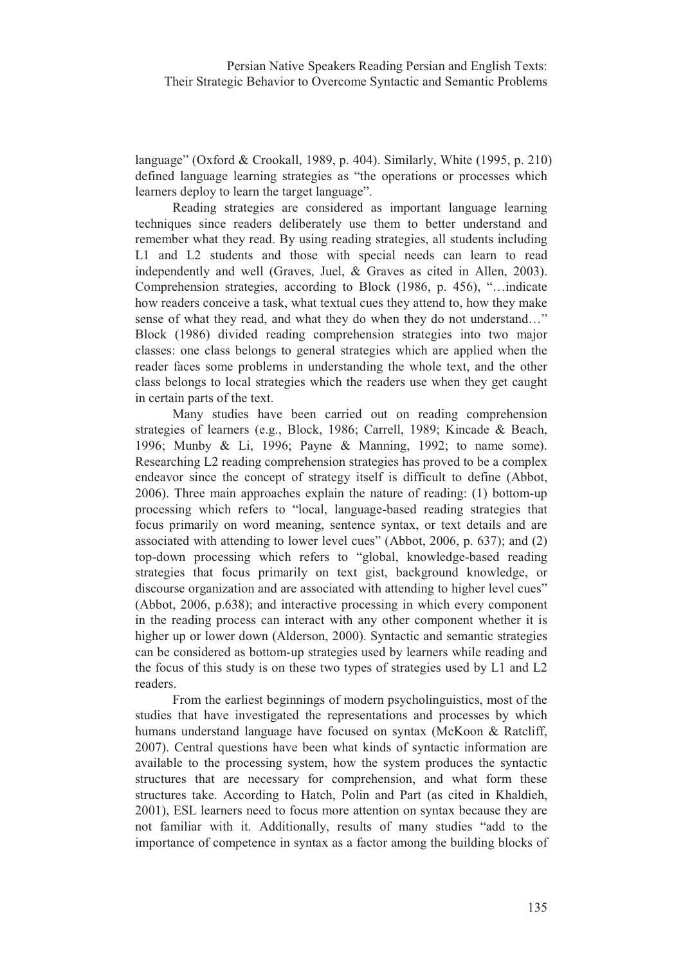language" (Oxford & Crookall, 1989, p. 404). Similarly, White (1995, p. 210) defined language learning strategies as "the operations or processes which learners deploy to learn the target language".

Reading strategies are considered as important language learning techniques since readers deliberately use them to better understand and remember what they read. By using reading strategies, all students including L1 and L2 students and those with special needs can learn to read independently and well (Graves, Juel, & Graves as cited in Allen, 2003). Comprehension strategies, according to Block (1986, p. 456), "...indicate how readers conceive a task, what textual cues they attend to, how they make sense of what they read, and what they do when they do not understand..." Block (1986) divided reading comprehension strategies into two major classes: one class belongs to general strategies which are applied when the reader faces some problems in understanding the whole text, and the other class belongs to local strategies which the readers use when they get caught in certain parts of the text.

Many studies have been carried out on reading comprehension strategies of learners (e.g., Block, 1986; Carrell, 1989; Kincade & Beach, 1996; Munby & Li, 1996; Payne & Manning, 1992; to name some). Researching L2 reading comprehension strategies has proved to be a complex endeavor since the concept of strategy itself is difficult to define (Abbot, 2006). Three main approaches explain the nature of reading: (1) bottom-up processing which refers to "local, language-based reading strategies that focus primarily on word meaning, sentence syntax, or text details and are associated with attending to lower level cues" (Abbot, 2006, p. 637); and (2) top-down processing which refers to "global, knowledge-based reading strategies that focus primarily on text gist, background knowledge, or discourse organization and are associated with attending to higher level cues" (Abbot, 2006, p.638); and interactive processing in which every component in the reading process can interact with any other component whether it is higher up or lower down (Alderson, 2000). Syntactic and semantic strategies can be considered as bottom-up strategies used by learners while reading and the focus of this study is on these two types of strategies used by L1 and L2 readers.

From the earliest beginnings of modern psycholinguistics, most of the studies that have investigated the representations and processes by which humans understand language have focused on syntax (McKoon & Ratcliff, 2007). Central questions have been what kinds of syntactic information are available to the processing system, how the system produces the syntactic structures that are necessary for comprehension, and what form these structures take. According to Hatch, Polin and Part (as cited in Khaldieh, 2001), ESL learners need to focus more attention on syntax because they are not familiar with it. Additionally, results of many studies "add to the importance of competence in syntax as a factor among the building blocks of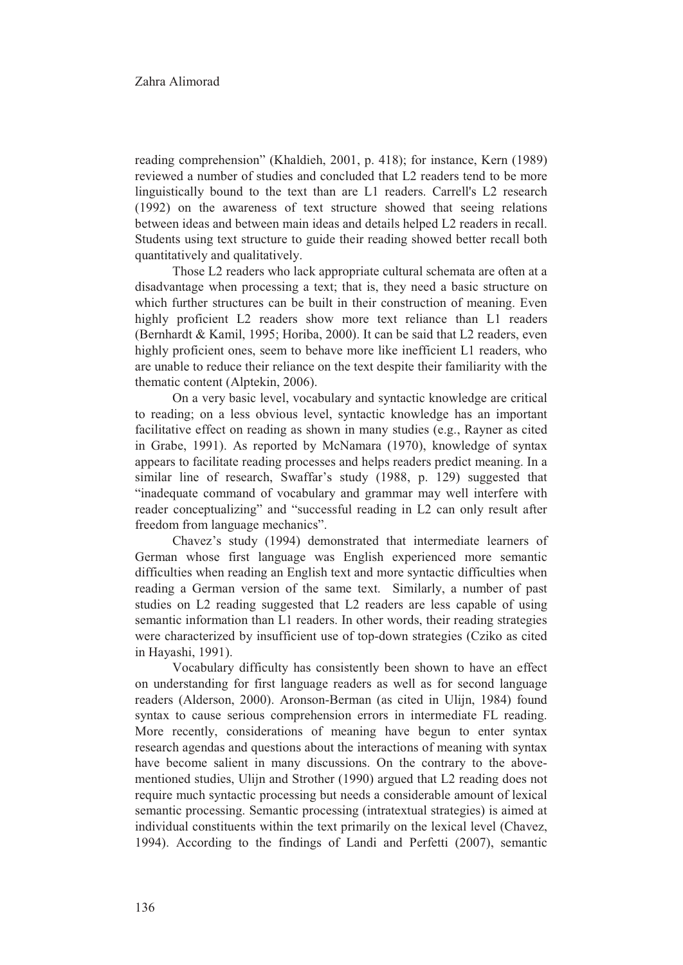reading comprehension" (Khaldieh, 2001, p. 418); for instance, Kern (1989) reviewed a number of studies and concluded that L2 readers tend to be more linguistically bound to the text than are L1 readers. Carrell's L2 research (1992) on the awareness of text structure showed that seeing relations between ideas and between main ideas and details helped L2 readers in recall. Students using text structure to guide their reading showed better recall both quantitatively and qualitatively.

Those L2 readers who lack appropriate cultural schemata are often at a disadvantage when processing a text; that is, they need a basic structure on which further structures can be built in their construction of meaning. Even highly proficient L2 readers show more text reliance than L1 readers (Bernhardt & Kamil, 1995; Horiba, 2000). It can be said that L2 readers, even highly proficient ones, seem to behave more like inefficient L1 readers, who are unable to reduce their reliance on the text despite their familiarity with the thematic content (Alptekin, 2006).

On a very basic level, vocabulary and syntactic knowledge are critical to reading; on a less obvious level, syntactic knowledge has an important facilitative effect on reading as shown in many studies (e.g., Rayner as cited in Grabe, 1991). As reported by McNamara (1970), knowledge of syntax appears to facilitate reading processes and helps readers predict meaning. In a similar line of research, Swaffar's study (1988, p. 129) suggested that "inadequate command of vocabulary and grammar may well interfere with reader conceptualizing" and "successful reading in L2 can only result after freedom from language mechanics".

Chavez's study (1994) demonstrated that intermediate learners of German whose first language was English experienced more semantic difficulties when reading an English text and more syntactic difficulties when reading a German version of the same text. Similarly, a number of past studies on L2 reading suggested that L2 readers are less capable of using semantic information than L1 readers. In other words, their reading strategies were characterized by insufficient use of top-down strategies (Cziko as cited in Hayashi, 1991).

Vocabulary difficulty has consistently been shown to have an effect on understanding for first language readers as well as for second language readers (Alderson, 2000). Aronson-Berman (as cited in Ulijn, 1984) found syntax to cause serious comprehension errors in intermediate FL reading. More recently, considerations of meaning have begun to enter syntax research agendas and questions about the interactions of meaning with syntax have become salient in many discussions. On the contrary to the abovementioned studies, Ulijn and Strother (1990) argued that L2 reading does not require much syntactic processing but needs a considerable amount of lexical semantic processing. Semantic processing (intratextual strategies) is aimed at individual constituents within the text primarily on the lexical level (Chavez, 1994). According to the findings of Landi and Perfetti (2007), semantic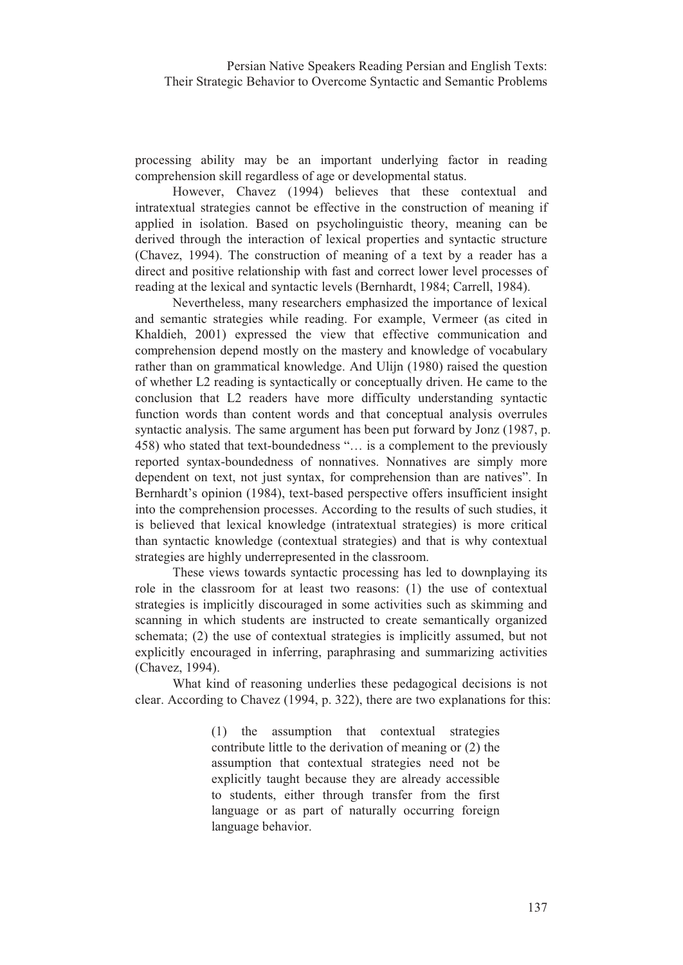processing ability may be an important underlying factor in reading comprehension skill regardless of age or developmental status.

However, Chavez (1994) believes that these contextual and intratextual strategies cannot be effective in the construction of meaning if applied in isolation. Based on psycholinguistic theory, meaning can be derived through the interaction of lexical properties and syntactic structure (Chavez, 1994). The construction of meaning of a text by a reader has a direct and positive relationship with fast and correct lower level processes of reading at the lexical and syntactic levels (Bernhardt, 1984; Carrell, 1984).

Nevertheless, many researchers emphasized the importance of lexical and semantic strategies while reading. For example, Vermeer (as cited in Khaldieh, 2001) expressed the view that effective communication and comprehension depend mostly on the mastery and knowledge of vocabulary rather than on grammatical knowledge. And Ulijn (1980) raised the question of whether L2 reading is syntactically or conceptually driven. He came to the conclusion that L2 readers have more difficulty understanding syntactic function words than content words and that conceptual analysis overrules syntactic analysis. The same argument has been put forward by Jonz (1987, p. 458) who stated that text-boundedness "... is a complement to the previously reported syntax-boundedness of nonnatives. Nonnatives are simply more dependent on text, not just syntax, for comprehension than are natives". In Bernhardt's opinion (1984), text-based perspective offers insufficient insight into the comprehension processes. According to the results of such studies, it is believed that lexical knowledge (intratextual strategies) is more critical than syntactic knowledge (contextual strategies) and that is why contextual strategies are highly underrepresented in the classroom.

These views towards syntactic processing has led to downplaying its role in the classroom for at least two reasons: (1) the use of contextual strategies is implicitly discouraged in some activities such as skimming and scanning in which students are instructed to create semantically organized schemata; (2) the use of contextual strategies is implicitly assumed, but not explicitly encouraged in inferring, paraphrasing and summarizing activities (Chavez, 1994).

What kind of reasoning underlies these pedagogical decisions is not clear. According to Chavez (1994, p. 322), there are two explanations for this:

> (1) the assumption that contextual strategies contribute little to the derivation of meaning or (2) the assumption that contextual strategies need not be explicitly taught because they are already accessible to students, either through transfer from the first language or as part of naturally occurring foreign language behavior.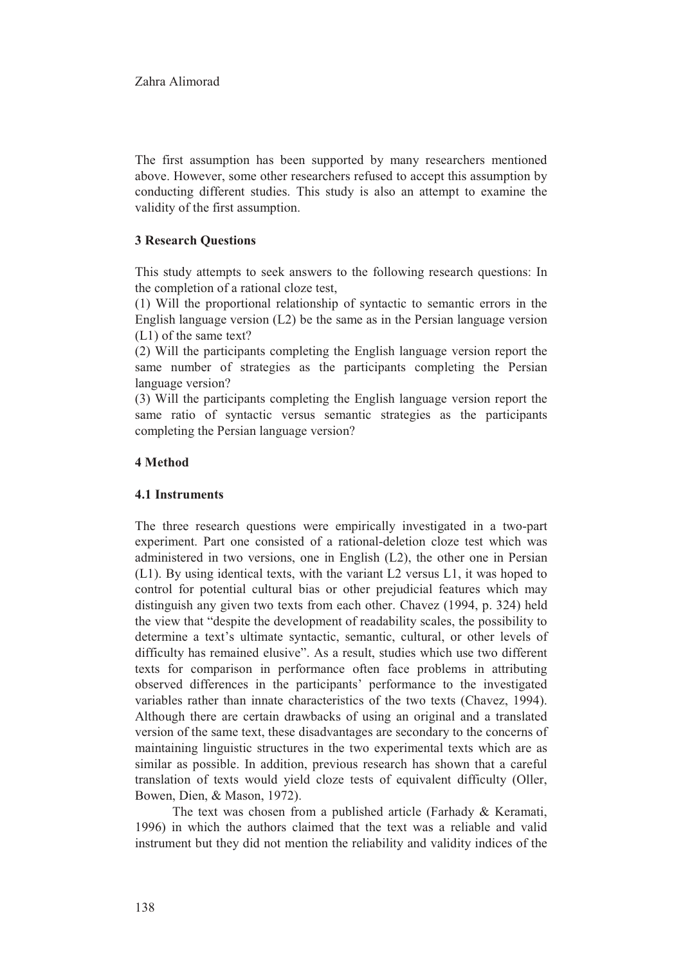The first assumption has been supported by many researchers mentioned above. However, some other researchers refused to accept this assumption by conducting different studies. This study is also an attempt to examine the validity of the first assumption.

## **3 Research Questions**

This study attempts to seek answers to the following research questions: In the completion of a rational cloze test,

(1) Will the proportional relationship of syntactic to semantic errors in the English language version  $(L2)$  be the same as in the Persian language version  $(L1)$  of the same text?

(2) Will the participants completing the English language version report the same number of strategies as the participants completing the Persian language version?

(3) Will the participants completing the English language version report the same ratio of syntactic versus semantic strategies as the participants completing the Persian language version?

## 4 Method

#### **4.1 Instruments**

The three research questions were empirically investigated in a two-part experiment. Part one consisted of a rational-deletion cloze test which was administered in two versions, one in English (L2), the other one in Persian (L1). By using identical texts, with the variant L2 versus L1, it was hoped to control for potential cultural bias or other prejudicial features which may distinguish any given two texts from each other. Chavez (1994, p. 324) held the view that "despite the development of readability scales, the possibility to determine a text's ultimate syntactic, semantic, cultural, or other levels of difficulty has remained elusive". As a result, studies which use two different texts for comparison in performance often face problems in attributing observed differences in the participants' performance to the investigated variables rather than innate characteristics of the two texts (Chavez, 1994). Although there are certain drawbacks of using an original and a translated version of the same text, these disadvantages are secondary to the concerns of maintaining linguistic structures in the two experimental texts which are as similar as possible. In addition, previous research has shown that a careful translation of texts would yield cloze tests of equivalent difficulty (Oller, Bowen, Dien, & Mason, 1972).

The text was chosen from a published article (Farhady & Keramati, 1996) in which the authors claimed that the text was a reliable and valid instrument but they did not mention the reliability and validity indices of the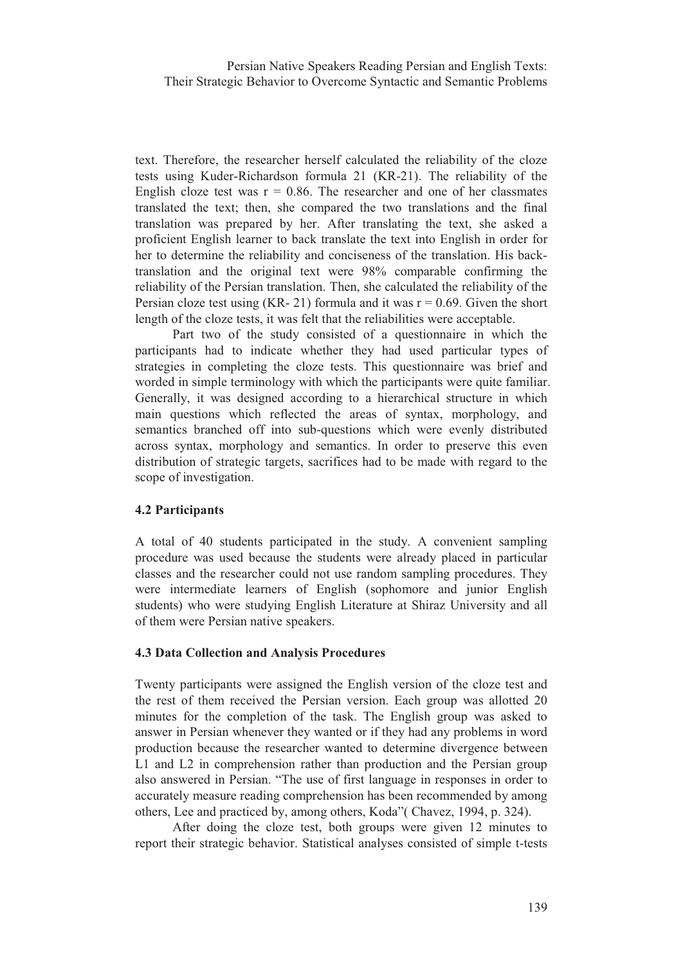Persian Native Speakers Reading Persian and English Texts: Their Strategic Behavior to Overcome Syntactic and Semantic Problems

text. Therefore, the researcher herself calculated the reliability of the cloze tests using Kuder-Richardson formula 21 (KR-21). The reliability of the English cloze test was  $r = 0.86$ . The researcher and one of her classmates translated the text; then, she compared the two translations and the final translation was prepared by her. After translating the text, she asked a proficient English learner to back translate the text into English in order for her to determine the reliability and conciseness of the translation. His backtranslation and the original text were 98% comparable confirming the reliability of the Persian translation. Then, she calculated the reliability of the Persian cloze test using (KR-21) formula and it was  $r = 0.69$ . Given the short length of the cloze tests, it was felt that the reliabilities were acceptable.

Part two of the study consisted of a questionnaire in which the participants had to indicate whether they had used particular types of strategies in completing the cloze tests. This questionnaire was brief and worded in simple terminology with which the participants were quite familiar. Generally, it was designed according to a hierarchical structure in which main questions which reflected the areas of syntax, morphology, and semantics branched off into sub-questions which were evenly distributed across syntax, morphology and semantics. In order to preserve this even distribution of strategic targets, sacrifices had to be made with regard to the scope of investigation.

#### **4.2 Participants**

A total of 40 students participated in the study. A convenient sampling procedure was used because the students were already placed in particular classes and the researcher could not use random sampling procedures. They were intermediate learners of English (sophomore and junior English students) who were studying English Literature at Shiraz University and all of them were Persian native speakers.

#### 4.3 Data Collection and Analysis Procedures

Twenty participants were assigned the English version of the cloze test and the rest of them received the Persian version. Each group was allotted 20 minutes for the completion of the task. The English group was asked to answer in Persian whenever they wanted or if they had any problems in word production because the researcher wanted to determine divergence between L1 and L2 in comprehension rather than production and the Persian group also answered in Persian. "The use of first language in responses in order to accurately measure reading comprehension has been recommended by among others, Lee and practiced by, among others, Koda" (Chavez, 1994, p. 324).

After doing the cloze test, both groups were given 12 minutes to report their strategic behavior. Statistical analyses consisted of simple t-tests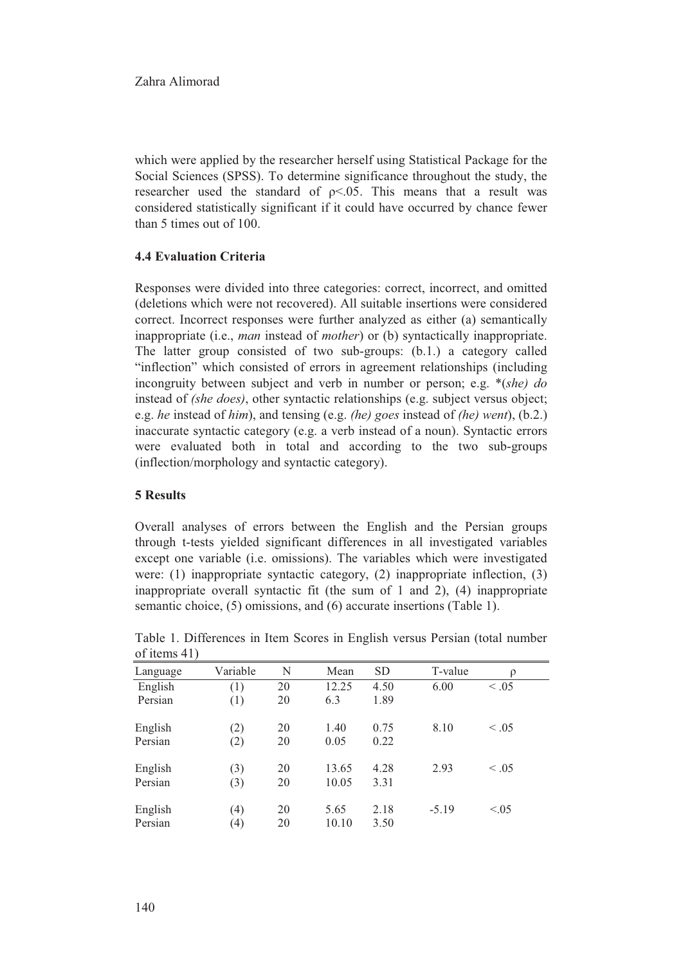which were applied by the researcher herself using Statistical Package for the Social Sciences (SPSS). To determine significance throughout the study, the researcher used the standard of  $p<0.05$ . This means that a result was considered statistically significant if it could have occurred by chance fewer than 5 times out of 100.

# **4.4 Evaluation Criteria**

Responses were divided into three categories: correct, incorrect, and omitted (deletions which were not recovered). All suitable insertions were considered correct. Incorrect responses were further analyzed as either (a) semantically inappropriate (i.e., *man* instead of *mother*) or (b) syntactically inappropriate. The latter group consisted of two sub-groups: (b.1.) a category called "inflection" which consisted of errors in agreement relationships (including incongruity between subject and verb in number or person; e.g.  $*(she)$  do instead of (she does), other syntactic relationships (e.g. subject versus object; e.g. he instead of him), and tensing (e.g. *(he)* goes instead of *(he)* went), (b.2.) inaccurate syntactic category (e.g. a verb instead of a noun). Syntactic errors were evaluated both in total and according to the two sub-groups (inflection/morphology and syntactic category).

#### **5 Results**

Overall analyses of errors between the English and the Persian groups through t-tests yielded significant differences in all investigated variables except one variable (i.e. omissions). The variables which were investigated were: (1) inappropriate syntactic category, (2) inappropriate inflection,  $(3)$ inappropriate overall syntactic fit (the sum of 1 and 2), (4) inappropriate semantic choice, (5) omissions, and (6) accurate insertions (Table 1).

| Language | Variable | N  | Mean  | <b>SD</b> | T-value | ρ      |  |
|----------|----------|----|-------|-----------|---------|--------|--|
| English  | (1)      | 20 | 12.25 | 4.50      | 6.00    | < 0.05 |  |
| Persian  | (1)      | 20 | 6.3   | 1.89      |         |        |  |
| English  | (2)      | 20 | 1.40  | 0.75      | 8.10    | < .05  |  |
| Persian  | (2)      | 20 | 0.05  | 0.22      |         |        |  |
| English  | (3)      | 20 | 13.65 | 4.28      | 2.93    | < .05  |  |
| Persian  | (3)      | 20 | 10.05 | 3.31      |         |        |  |
| English  | (4)      | 20 | 5.65  | 2.18      | $-5.19$ | < 0.05 |  |
| Persian  | (4)      | 20 | 10.10 | 3.50      |         |        |  |

Table 1. Differences in Item Scores in English versus Persian (total number  $of items 41$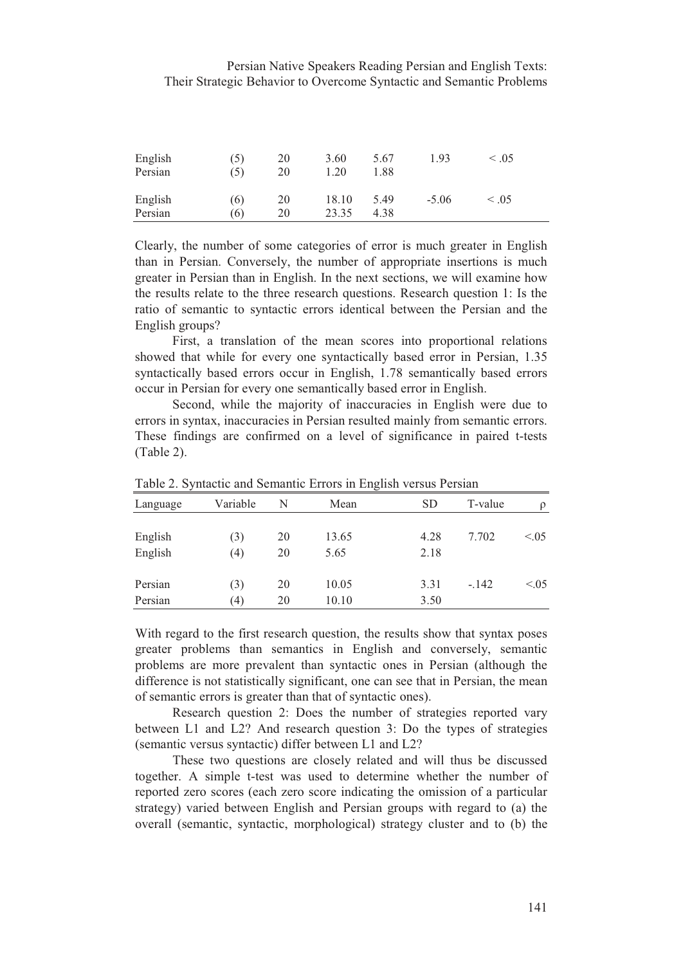## Persian Native Speakers Reading Persian and English Texts: Their Strategic Behavior to Overcome Syntactic and Semantic Problems

| English<br>Persian | (5)<br>(5) | 20<br>20 | 3.60<br>1.20   | 5.67<br>l.88 | 1.93    | < 0.05 |
|--------------------|------------|----------|----------------|--------------|---------|--------|
| English<br>Persian | (6)<br>(6) | 20<br>20 | 18.10<br>23.35 | 5.49<br>4.38 | $-5.06$ | < .05  |

Clearly, the number of some categories of error is much greater in English than in Persian. Conversely, the number of appropriate insertions is much greater in Persian than in English. In the next sections, we will examine how the results relate to the three research questions. Research question 1: Is the ratio of semantic to syntactic errors identical between the Persian and the English groups?

First, a translation of the mean scores into proportional relations showed that while for every one syntactically based error in Persian, 1.35 syntactically based errors occur in English, 1.78 semantically based errors occur in Persian for every one semantically based error in English.

Second, while the majority of inaccuracies in English were due to errors in syntax, inaccuracies in Persian resulted mainly from semantic errors. These findings are confirmed on a level of significance in paired t-tests  $(Table 2).$ 

| Language | Variable | N  | Mean  | <b>SD</b> | T-value | $\rho$ |
|----------|----------|----|-------|-----------|---------|--------|
|          |          |    |       |           |         |        |
| English  | (3)      | 20 | 13.65 | 4.28      | 7.702   | < 0.05 |
| English  | (4)      | 20 | 5.65  | 2.18      |         |        |
|          |          |    |       |           |         |        |
| Persian  | (3)      | 20 | 10.05 | 3.31      | $-.142$ | < 0.05 |
| Persian  | (4)      | 20 | 10.10 | 3.50      |         |        |

Table 2. Syntactic and Semantic Errors in English versus Persian

With regard to the first research question, the results show that syntax poses greater problems than semantics in English and conversely, semantic problems are more prevalent than syntactic ones in Persian (although the difference is not statistically significant, one can see that in Persian, the mean of semantic errors is greater than that of syntactic ones).

Research question 2: Does the number of strategies reported vary between L1 and L2? And research question 3: Do the types of strategies (semantic versus syntactic) differ between L1 and L2?

These two questions are closely related and will thus be discussed together. A simple t-test was used to determine whether the number of reported zero scores (each zero score indicating the omission of a particular strategy) varied between English and Persian groups with regard to (a) the overall (semantic, syntactic, morphological) strategy cluster and to (b) the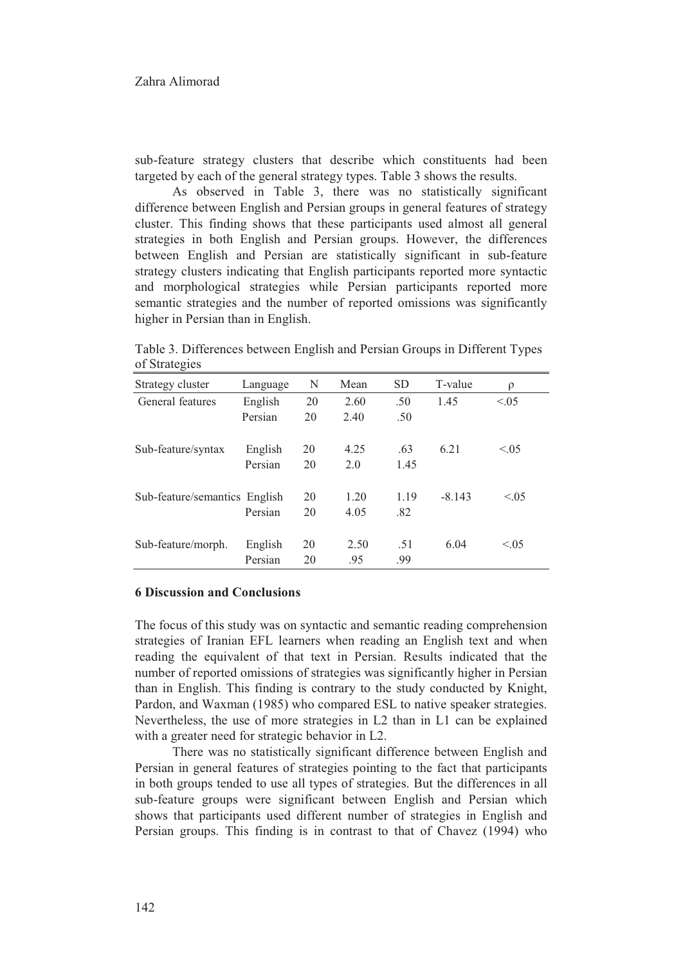sub-feature strategy clusters that describe which constituents had been targeted by each of the general strategy types. Table 3 shows the results.

As observed in Table 3, there was no statistically significant difference between English and Persian groups in general features of strategy cluster. This finding shows that these participants used almost all general strategies in both English and Persian groups. However, the differences between English and Persian are statistically significant in sub-feature strategy clusters indicating that English participants reported more syntactic and morphological strategies while Persian participants reported more semantic strategies and the number of reported omissions was significantly higher in Persian than in English.

 ${\bf N}$ Strategy cluster Language Mean **SD** T-value  $\rho$ General features English 20 2.60 .50 1.45  $< 0.05$ Persian 20 2.40 .50 Sub-feature/syntax English 20 4.25  $.63$ 6.21  $< 0.05$ Persian 2.0 20 1.45 Sub-feature/semantics English 20 1.20 1.19  $-8.143$  $< 0.5$ Persian 20 4.05  $.82$ 6.04  $< 0.5$ Sub-feature/morph. English 20 2.50  $.51$ Persian 20  $.95$ .99

Table 3. Differences between English and Persian Groups in Different Types of Strategies

#### **6 Discussion and Conclusions**

The focus of this study was on syntactic and semantic reading comprehension strategies of Iranian EFL learners when reading an English text and when reading the equivalent of that text in Persian. Results indicated that the number of reported omissions of strategies was significantly higher in Persian than in English. This finding is contrary to the study conducted by Knight, Pardon, and Waxman (1985) who compared ESL to native speaker strategies. Nevertheless, the use of more strategies in L2 than in L1 can be explained with a greater need for strategic behavior in L2.

There was no statistically significant difference between English and Persian in general features of strategies pointing to the fact that participants in both groups tended to use all types of strategies. But the differences in all sub-feature groups were significant between English and Persian which shows that participants used different number of strategies in English and Persian groups. This finding is in contrast to that of Chavez (1994) who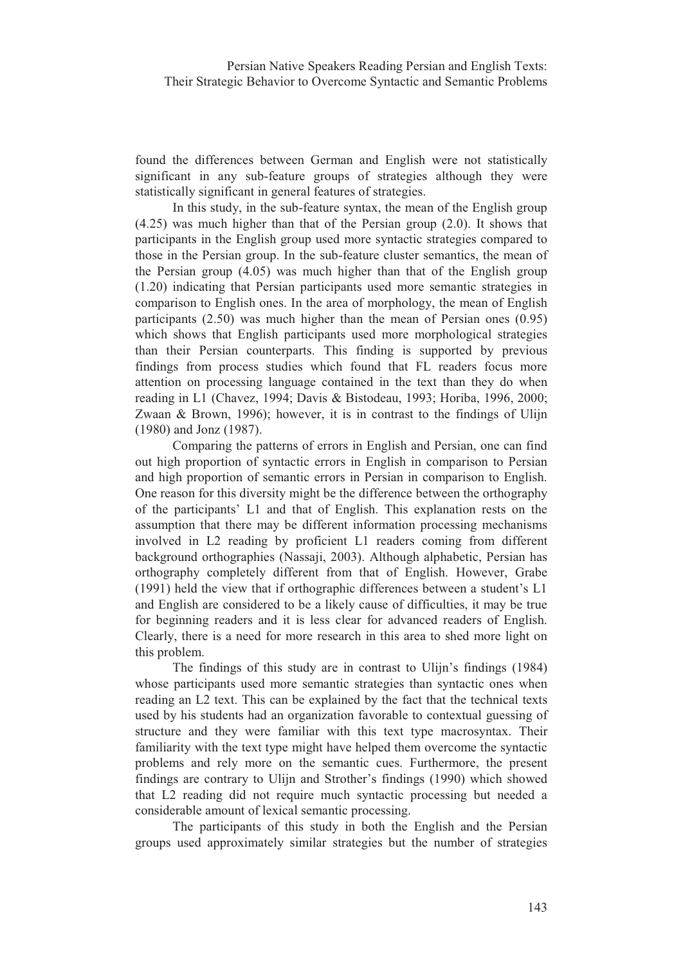found the differences between German and English were not statistically significant in any sub-feature groups of strategies although they were statistically significant in general features of strategies.

In this study, in the sub-feature syntax, the mean of the English group  $(4.25)$  was much higher than that of the Persian group  $(2.0)$ . It shows that participants in the English group used more syntactic strategies compared to those in the Persian group. In the sub-feature cluster semantics, the mean of the Persian group (4.05) was much higher than that of the English group (1.20) indicating that Persian participants used more semantic strategies in comparison to English ones. In the area of morphology, the mean of English participants  $(2.50)$  was much higher than the mean of Persian ones  $(0.95)$ which shows that English participants used more morphological strategies than their Persian counterparts. This finding is supported by previous findings from process studies which found that FL readers focus more attention on processing language contained in the text than they do when reading in L1 (Chavez, 1994; Davis & Bistodeau, 1993; Horiba, 1996, 2000; Zwaan & Brown, 1996); however, it is in contrast to the findings of Ulijn (1980) and Jonz (1987).

Comparing the patterns of errors in English and Persian, one can find out high proportion of syntactic errors in English in comparison to Persian and high proportion of semantic errors in Persian in comparison to English. One reason for this diversity might be the difference between the orthography of the participants' L1 and that of English. This explanation rests on the assumption that there may be different information processing mechanisms involved in L2 reading by proficient L1 readers coming from different background orthographies (Nassaji, 2003). Although alphabetic, Persian has orthography completely different from that of English. However, Grabe (1991) held the view that if orthographic differences between a student's L1 and English are considered to be a likely cause of difficulties, it may be true for beginning readers and it is less clear for advanced readers of English. Clearly, there is a need for more research in this area to shed more light on this problem.

The findings of this study are in contrast to Ulijn's findings (1984) whose participants used more semantic strategies than syntactic ones when reading an L2 text. This can be explained by the fact that the technical texts used by his students had an organization favorable to contextual guessing of structure and they were familiar with this text type macrosyntax. Their familiarity with the text type might have helped them overcome the syntactic problems and rely more on the semantic cues. Furthermore, the present findings are contrary to Ulijn and Strother's findings (1990) which showed that L2 reading did not require much syntactic processing but needed a considerable amount of lexical semantic processing.

The participants of this study in both the English and the Persian groups used approximately similar strategies but the number of strategies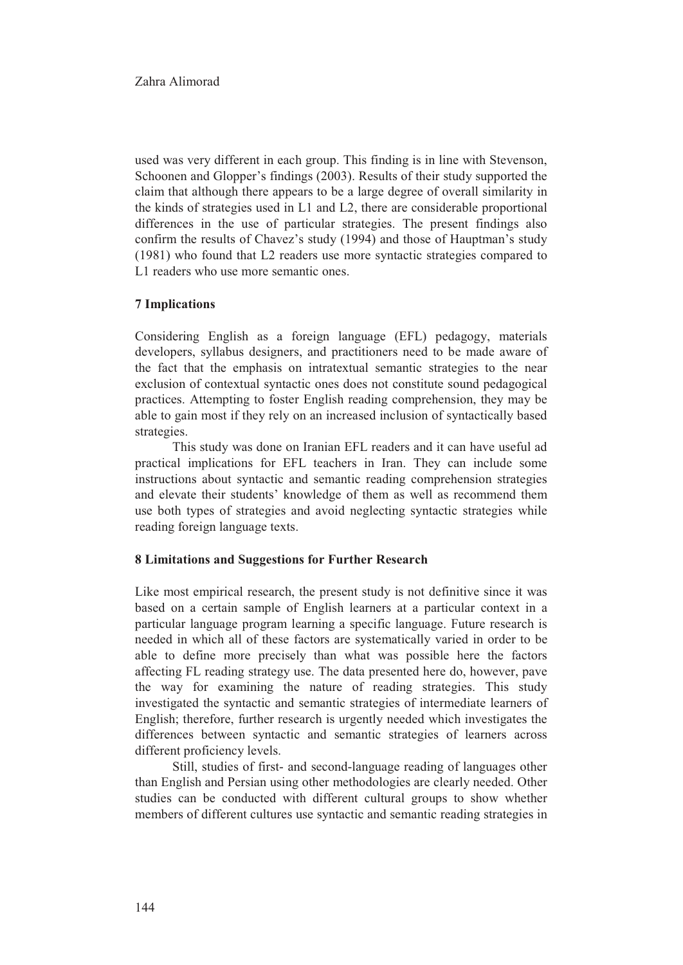used was very different in each group. This finding is in line with Stevenson, Schoonen and Glopper's findings (2003). Results of their study supported the claim that although there appears to be a large degree of overall similarity in the kinds of strategies used in L1 and L2, there are considerable proportional differences in the use of particular strategies. The present findings also confirm the results of Chavez's study (1994) and those of Hauptman's study (1981) who found that L2 readers use more syntactic strategies compared to L1 readers who use more semantic ones.

## **7 Implications**

Considering English as a foreign language (EFL) pedagogy, materials developers, syllabus designers, and practitioners need to be made aware of the fact that the emphasis on intratextual semantic strategies to the near exclusion of contextual syntactic ones does not constitute sound pedagogical practices. Attempting to foster English reading comprehension, they may be able to gain most if they rely on an increased inclusion of syntactically based strategies.

This study was done on Iranian EFL readers and it can have useful ad practical implications for EFL teachers in Iran. They can include some instructions about syntactic and semantic reading comprehension strategies and elevate their students' knowledge of them as well as recommend them use both types of strategies and avoid neglecting syntactic strategies while reading foreign language texts.

#### 8 Limitations and Suggestions for Further Research

Like most empirical research, the present study is not definitive since it was based on a certain sample of English learners at a particular context in a particular language program learning a specific language. Future research is needed in which all of these factors are systematically varied in order to be able to define more precisely than what was possible here the factors affecting FL reading strategy use. The data presented here do, however, pave the way for examining the nature of reading strategies. This study investigated the syntactic and semantic strategies of intermediate learners of English; therefore, further research is urgently needed which investigates the differences between syntactic and semantic strategies of learners across different proficiency levels.

Still, studies of first- and second-language reading of languages other than English and Persian using other methodologies are clearly needed. Other studies can be conducted with different cultural groups to show whether members of different cultures use syntactic and semantic reading strategies in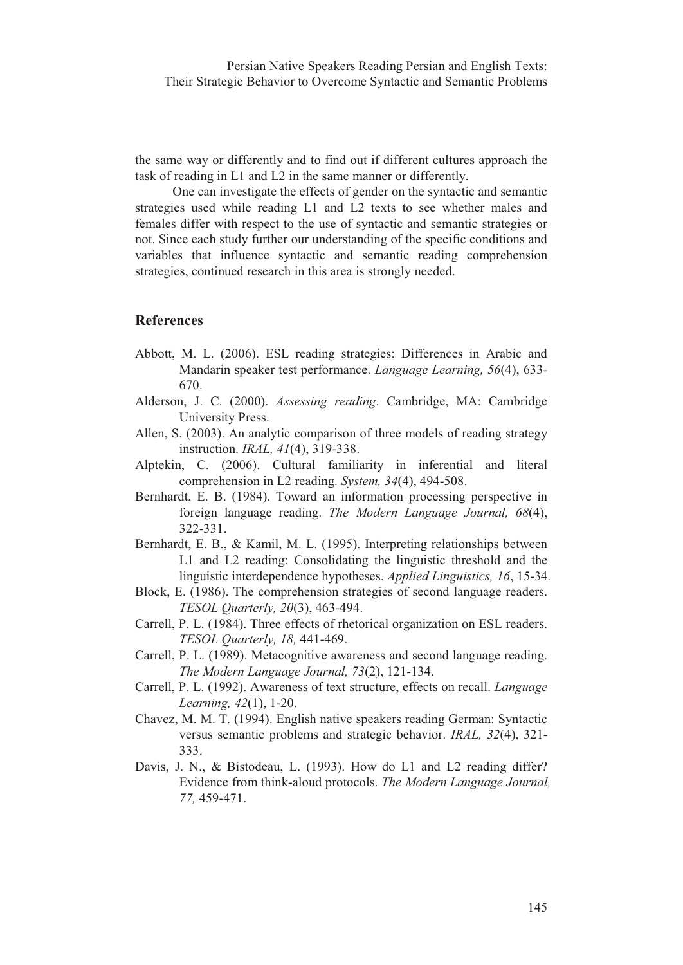the same way or differently and to find out if different cultures approach the task of reading in L1 and L2 in the same manner or differently.

One can investigate the effects of gender on the syntactic and semantic strategies used while reading L1 and L2 texts to see whether males and females differ with respect to the use of syntactic and semantic strategies or not. Since each study further our understanding of the specific conditions and variables that influence syntactic and semantic reading comprehension strategies, continued research in this area is strongly needed.

# **References**

- Abbott, M. L. (2006). ESL reading strategies: Differences in Arabic and Mandarin speaker test performance. Language Learning, 56(4), 633-670.
- Alderson, J. C. (2000). Assessing reading. Cambridge, MA: Cambridge University Press.
- Allen, S. (2003). An analytic comparison of three models of reading strategy instruction. IRAL, 41(4), 319-338.
- Alptekin, C. (2006). Cultural familiarity in inferential and literal comprehension in L2 reading. System, 34(4), 494-508.
- Bernhardt, E. B. (1984). Toward an information processing perspective in foreign language reading. The Modern Language Journal, 68(4), 322-331.
- Bernhardt, E. B., & Kamil, M. L. (1995). Interpreting relationships between L1 and L2 reading: Consolidating the linguistic threshold and the linguistic interdependence hypotheses. Applied Linguistics, 16, 15-34.
- Block, E. (1986). The comprehension strategies of second language readers. TESOL Quarterly, 20(3), 463-494.
- Carrell, P. L. (1984). Three effects of rhetorical organization on ESL readers. TESOL Quarterly, 18, 441-469.
- Carrell, P. L. (1989). Metacognitive awareness and second language reading. The Modern Language Journal, 73(2), 121-134.
- Carrell, P. L. (1992). Awareness of text structure, effects on recall. Language Learning, 42(1), 1-20.
- Chavez, M. M. T. (1994). English native speakers reading German: Syntactic versus semantic problems and strategic behavior. IRAL, 32(4), 321-333.
- Davis, J. N., & Bistodeau, L. (1993). How do L1 and L2 reading differ? Evidence from think-aloud protocols. The Modern Language Journal, 77, 459-471.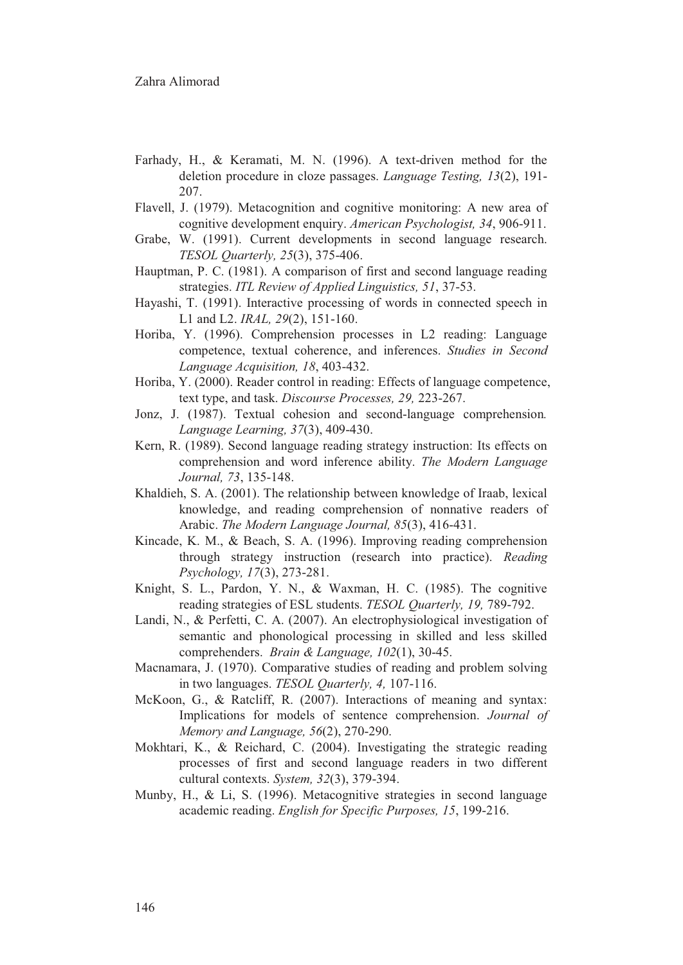- Farhady, H., & Keramati, M. N. (1996). A text-driven method for the deletion procedure in cloze passages. Language Testing, 13(2), 191-207.
- Flavell, J. (1979). Metacognition and cognitive monitoring: A new area of cognitive development enquiry. American Psychologist, 34, 906-911.
- Grabe, W. (1991). Current developments in second language research. TESOL Quarterly, 25(3), 375-406.
- Hauptman, P. C. (1981). A comparison of first and second language reading strategies. ITL Review of Applied Linguistics, 51, 37-53.
- Hayashi, T. (1991). Interactive processing of words in connected speech in L1 and L2. IRAL, 29(2), 151-160.
- Horiba, Y. (1996). Comprehension processes in L2 reading: Language competence, textual coherence, and inferences. Studies in Second Language Acquisition, 18, 403-432.
- Horiba, Y. (2000). Reader control in reading: Effects of language competence, text type, and task. Discourse Processes, 29, 223-267.
- Jonz, J. (1987). Textual cohesion and second-language comprehension. Language Learning, 37(3), 409-430.
- Kern, R. (1989). Second language reading strategy instruction: Its effects on comprehension and word inference ability. The Modern Language Journal, 73, 135-148.
- Khaldieh, S. A. (2001). The relationship between knowledge of Iraab, lexical knowledge, and reading comprehension of nonnative readers of Arabic. The Modern Language Journal, 85(3), 416-431.
- Kincade, K. M., & Beach, S. A. (1996). Improving reading comprehension through strategy instruction (research into practice). Reading Psychology, 17(3), 273-281.
- Knight, S. L., Pardon, Y. N., & Waxman, H. C. (1985). The cognitive reading strategies of ESL students. TESOL Quarterly, 19, 789-792.
- Landi, N., & Perfetti, C. A. (2007). An electrophysiological investigation of semantic and phonological processing in skilled and less skilled comprehenders. Brain & Language, 102(1), 30-45.
- Macnamara, J. (1970). Comparative studies of reading and problem solving in two languages. TESOL Quarterly, 4, 107-116.
- McKoon, G., & Ratcliff, R. (2007). Interactions of meaning and syntax: Implications for models of sentence comprehension. Journal of Memory and Language, 56(2), 270-290.
- Mokhtari, K., & Reichard, C. (2004). Investigating the strategic reading processes of first and second language readers in two different cultural contexts. System, 32(3), 379-394.
- Munby, H., & Li, S. (1996). Metacognitive strategies in second language academic reading. English for Specific Purposes, 15, 199-216.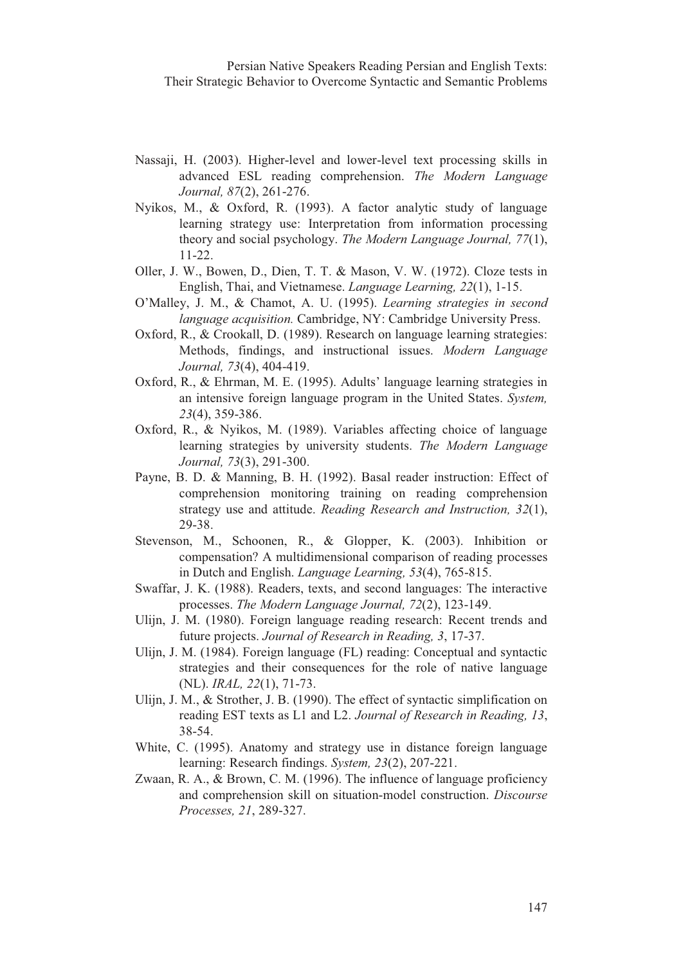- Nassaji, H. (2003). Higher-level and lower-level text processing skills in advanced ESL reading comprehension. The Modern Language Journal, 87(2), 261-276.
- Nyikos, M., & Oxford, R. (1993). A factor analytic study of language learning strategy use: Interpretation from information processing theory and social psychology. The Modern Language Journal, 77(1),  $11-22.$
- Oller, J. W., Bowen, D., Dien, T. T. & Mason, V. W. (1972). Cloze tests in English, Thai, and Vietnamese. Language Learning, 22(1), 1-15.
- O'Malley, J. M., & Chamot, A. U. (1995). Learning strategies in second language acquisition. Cambridge, NY: Cambridge University Press.
- Oxford, R., & Crookall, D. (1989). Research on language learning strategies: Methods, findings, and instructional issues. Modern Language Journal, 73(4), 404-419.
- Oxford, R., & Ehrman, M. E. (1995). Adults' language learning strategies in an intensive foreign language program in the United States. System,  $23(4)$ , 359-386.
- Oxford, R., & Nyikos, M. (1989). Variables affecting choice of language learning strategies by university students. The Modern Language Journal, 73(3), 291-300.
- Payne, B. D. & Manning, B. H. (1992). Basal reader instruction: Effect of comprehension monitoring training on reading comprehension strategy use and attitude. Reading Research and Instruction, 32(1), 29-38.
- Stevenson, M., Schoonen, R., & Glopper, K. (2003). Inhibition or compensation? A multidimensional comparison of reading processes in Dutch and English. Language Learning, 53(4), 765-815.
- Swaffar, J. K. (1988). Readers, texts, and second languages: The interactive processes. The Modern Language Journal, 72(2), 123-149.
- Ulijn, J. M. (1980). Foreign language reading research: Recent trends and future projects. Journal of Research in Reading, 3, 17-37.
- Ulijn, J. M. (1984). Foreign language (FL) reading: Conceptual and syntactic strategies and their consequences for the role of native language (NL). IRAL, 22(1), 71-73.
- Ulijn, J. M., & Strother, J. B. (1990). The effect of syntactic simplification on reading EST texts as L1 and L2. Journal of Research in Reading, 13,  $38 - 54.$
- White, C. (1995). Anatomy and strategy use in distance foreign language learning: Research findings. System, 23(2), 207-221.
- Zwaan, R. A., & Brown, C. M. (1996). The influence of language proficiency and comprehension skill on situation-model construction. Discourse Processes, 21, 289-327.